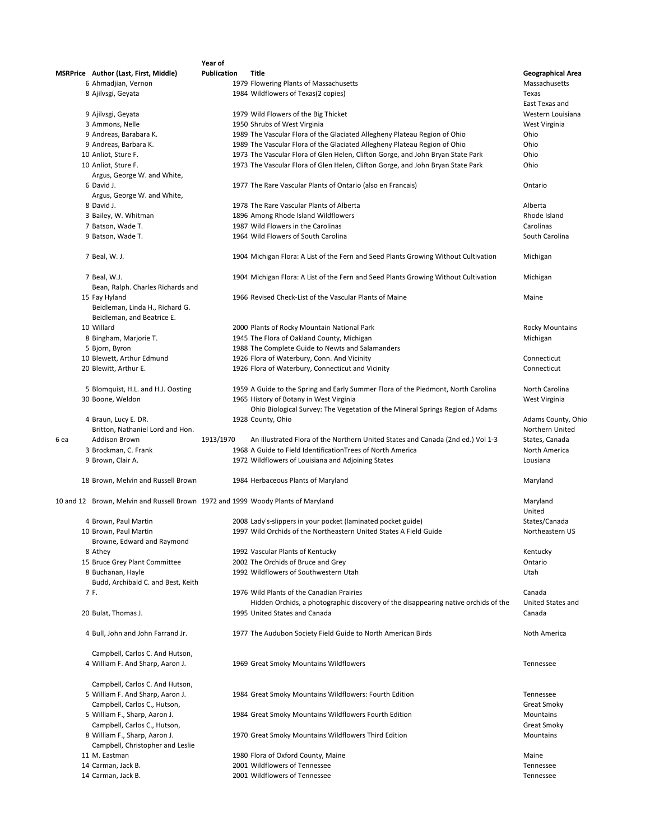|                                                                                  | Year of            |                                                                                     |                          |
|----------------------------------------------------------------------------------|--------------------|-------------------------------------------------------------------------------------|--------------------------|
| MSRPrice Author (Last, First, Middle)                                            | <b>Publication</b> | Title                                                                               | <b>Geographical Area</b> |
| 6 Ahmadjian, Vernon                                                              |                    | 1979 Flowering Plants of Massachusetts                                              | Massachusetts            |
| 8 Ajilysgi, Geyata                                                               |                    |                                                                                     | Texas                    |
|                                                                                  |                    | 1984 Wildflowers of Texas(2 copies)                                                 |                          |
|                                                                                  |                    |                                                                                     | East Texas and           |
| 9 Ajilvsgi, Geyata                                                               |                    | 1979 Wild Flowers of the Big Thicket                                                | Western Louisiana        |
| 3 Ammons, Nelle                                                                  |                    | 1950 Shrubs of West Virginia                                                        | West Virginia            |
| 9 Andreas, Barabara K.                                                           |                    | 1989 The Vascular Flora of the Glaciated Allegheny Plateau Region of Ohio           | Ohio                     |
| 9 Andreas, Barbara K.                                                            |                    | 1989 The Vascular Flora of the Glaciated Allegheny Plateau Region of Ohio           | Ohio                     |
| 10 Anliot, Sture F.                                                              |                    | 1973 The Vascular Flora of Glen Helen, Clifton Gorge, and John Bryan State Park     | Ohio                     |
| 10 Anliot, Sture F.                                                              |                    | 1973 The Vascular Flora of Glen Helen, Clifton Gorge, and John Bryan State Park     | Ohio                     |
| Argus, George W. and White,                                                      |                    |                                                                                     |                          |
| 6 David J.                                                                       |                    | 1977 The Rare Vascular Plants of Ontario (also en Francais)                         | Ontario                  |
| Argus, George W. and White,                                                      |                    |                                                                                     |                          |
|                                                                                  |                    |                                                                                     |                          |
| 8 David J.                                                                       |                    | 1978 The Rare Vascular Plants of Alberta                                            | Alberta                  |
| 3 Bailey, W. Whitman                                                             |                    | 1896 Among Rhode Island Wildflowers                                                 | Rhode Island             |
| 7 Batson, Wade T.                                                                |                    | 1987 Wild Flowers in the Carolinas                                                  | Carolinas                |
| 9 Batson, Wade T.                                                                |                    | 1964 Wild Flowers of South Carolina                                                 | South Carolina           |
|                                                                                  |                    |                                                                                     |                          |
| 7 Beal, W. J.                                                                    |                    | 1904 Michigan Flora: A List of the Fern and Seed Plants Growing Without Cultivation | Michigan                 |
| 7 Beal, W.J.                                                                     |                    | 1904 Michigan Flora: A List of the Fern and Seed Plants Growing Without Cultivation | Michigan                 |
| Bean, Ralph. Charles Richards and                                                |                    |                                                                                     |                          |
| 15 Fay Hyland                                                                    |                    | 1966 Revised Check-List of the Vascular Plants of Maine                             | Maine                    |
| Beidleman, Linda H., Richard G.                                                  |                    |                                                                                     |                          |
| Beidleman, and Beatrice E.                                                       |                    |                                                                                     |                          |
| 10 Willard                                                                       |                    | 2000 Plants of Rocky Mountain National Park                                         | <b>Rocky Mountains</b>   |
| 8 Bingham, Marjorie T.                                                           |                    | 1945 The Flora of Oakland County, Michigan                                          | Michigan                 |
|                                                                                  |                    |                                                                                     |                          |
| 5 Bjorn, Byron                                                                   |                    | 1988 The Complete Guide to Newts and Salamanders                                    |                          |
| 10 Blewett, Arthur Edmund                                                        |                    | 1926 Flora of Waterbury, Conn. And Vicinity                                         | Connecticut              |
| 20 Blewitt, Arthur E.                                                            |                    | 1926 Flora of Waterbury, Connecticut and Vicinity                                   | Connecticut              |
|                                                                                  |                    |                                                                                     |                          |
| 5 Blomquist, H.L. and H.J. Oosting                                               |                    | 1959 A Guide to the Spring and Early Summer Flora of the Piedmont, North Carolina   | North Carolina           |
| 30 Boone, Weldon                                                                 |                    | 1965 History of Botany in West Virginia                                             | West Virginia            |
|                                                                                  |                    | Ohio Biological Survey: The Vegetation of the Mineral Springs Region of Adams       |                          |
| 4 Braun, Lucy E. DR.                                                             |                    | 1928 County, Ohio                                                                   | Adams County, Ohio       |
| Britton, Nathaniel Lord and Hon.                                                 |                    |                                                                                     | Northern United          |
|                                                                                  |                    |                                                                                     |                          |
| <b>Addison Brown</b><br>6 ea                                                     | 1913/1970          | An Illustrated Flora of the Northern United States and Canada (2nd ed.) Vol 1-3     | States, Canada           |
| 3 Brockman, C. Frank                                                             |                    | 1968 A Guide to Field Identification Trees of North America                         | North America            |
| 9 Brown, Clair A.                                                                |                    | 1972 Wildflowers of Louisiana and Adjoining States                                  | Lousiana                 |
| 18 Brown, Melvin and Russell Brown                                               |                    | 1984 Herbaceous Plants of Maryland                                                  | Maryland                 |
|                                                                                  |                    |                                                                                     |                          |
| 10 and 12 Brown, Melvin and Russell Brown 1972 and 1999 Woody Plants of Maryland |                    |                                                                                     | Maryland                 |
|                                                                                  |                    |                                                                                     | United                   |
| 4 Brown, Paul Martin                                                             |                    | 2008 Lady's-slippers in your pocket (laminated pocket guide)                        | States/Canada            |
| 10 Brown, Paul Martin                                                            |                    | 1997 Wild Orchids of the Northeastern United States A Field Guide                   | Northeastern US          |
| Browne, Edward and Raymond                                                       |                    |                                                                                     |                          |
| 8 Athey                                                                          |                    | 1992 Vascular Plants of Kentucky                                                    | Kentucky                 |
| 15 Bruce Grey Plant Committee                                                    |                    |                                                                                     | Ontario                  |
|                                                                                  |                    | 2002 The Orchids of Bruce and Grey                                                  |                          |
| 8 Buchanan, Hayle                                                                |                    | 1992 Wildflowers of Southwestern Utah                                               | Utah                     |
| Budd, Archibald C. and Best, Keith                                               |                    |                                                                                     |                          |
| 7 F.                                                                             |                    | 1976 Wild Plants of the Canadian Prairies                                           | Canada                   |
|                                                                                  |                    | Hidden Orchids, a photographic discovery of the disappearing native orchids of the  | <b>United States and</b> |
| 20 Bulat, Thomas J.                                                              |                    | 1995 United States and Canada                                                       | Canada                   |
| 4 Bull, John and John Farrand Jr.                                                |                    | 1977 The Audubon Society Field Guide to North American Birds                        | Noth America             |
|                                                                                  |                    |                                                                                     |                          |
| Campbell, Carlos C. And Hutson,                                                  |                    |                                                                                     |                          |
| 4 William F. And Sharp, Aaron J.                                                 |                    | 1969 Great Smoky Mountains Wildflowers                                              | Tennessee                |
|                                                                                  |                    |                                                                                     |                          |
| Campbell, Carlos C. And Hutson,                                                  |                    |                                                                                     |                          |
| 5 William F. And Sharp, Aaron J.                                                 |                    | 1984 Great Smoky Mountains Wildflowers: Fourth Edition                              | Tennessee                |
| Campbell, Carlos C., Hutson,                                                     |                    |                                                                                     | <b>Great Smoky</b>       |
|                                                                                  |                    |                                                                                     |                          |
| 5 William F., Sharp, Aaron J.                                                    |                    | 1984 Great Smoky Mountains Wildflowers Fourth Edition                               | Mountains                |
| Campbell, Carlos C., Hutson,                                                     |                    |                                                                                     | <b>Great Smoky</b>       |
| 8 William F., Sharp, Aaron J.                                                    |                    | 1970 Great Smoky Mountains Wildflowers Third Edition                                | Mountains                |
| Campbell, Christopher and Leslie                                                 |                    |                                                                                     |                          |
| 11 M. Eastman                                                                    |                    | 1980 Flora of Oxford County, Maine                                                  | Maine                    |
| 14 Carman, Jack B.                                                               |                    | 2001 Wildflowers of Tennessee                                                       | Tennessee                |
| 14 Carman, Jack B.                                                               |                    | 2001 Wildflowers of Tennessee                                                       | Tennessee                |
|                                                                                  |                    |                                                                                     |                          |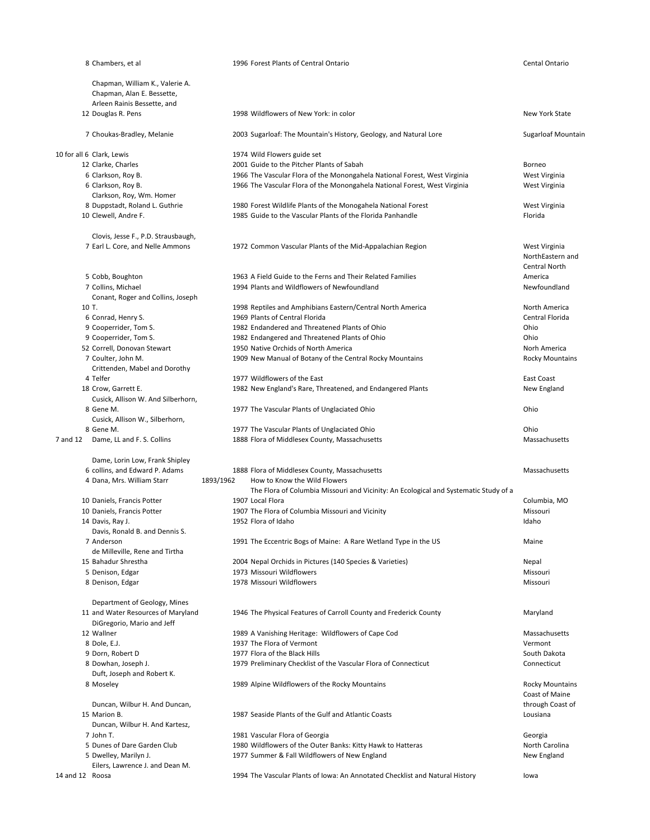|                 | 8 Chambers, et al                                                                            |           | 1996 Forest Plants of Central Ontario                                                                        | Cental Ontario                                            |
|-----------------|----------------------------------------------------------------------------------------------|-----------|--------------------------------------------------------------------------------------------------------------|-----------------------------------------------------------|
|                 | Chapman, William K., Valerie A.<br>Chapman, Alan E. Bessette,<br>Arleen Rainis Bessette, and |           |                                                                                                              |                                                           |
|                 | 12 Douglas R. Pens                                                                           |           | 1998 Wildflowers of New York: in color                                                                       | <b>New York State</b>                                     |
|                 | 7 Choukas-Bradley, Melanie                                                                   |           | 2003 Sugarloaf: The Mountain's History, Geology, and Natural Lore                                            | Sugarloaf Mountair                                        |
|                 | 10 for all 6 Clark, Lewis                                                                    |           | 1974 Wild Flowers guide set                                                                                  |                                                           |
|                 | 12 Clarke, Charles                                                                           |           | 2001 Guide to the Pitcher Plants of Sabah                                                                    | Borneo                                                    |
|                 | 6 Clarkson, Roy B.                                                                           |           | 1966 The Vascular Flora of the Monongahela National Forest, West Virginia                                    | West Virginia                                             |
|                 | 6 Clarkson, Roy B.                                                                           |           | 1966 The Vascular Flora of the Monongahela National Forest, West Virginia                                    | West Virginia                                             |
|                 | Clarkson, Roy, Wm. Homer                                                                     |           |                                                                                                              |                                                           |
|                 | 8 Duppstadt, Roland L. Guthrie                                                               |           | 1980 Forest Wildlife Plants of the Monogahela National Forest                                                | West Virginia                                             |
|                 | 10 Clewell, Andre F.                                                                         |           | 1985 Guide to the Vascular Plants of the Florida Panhandle                                                   | Florida                                                   |
|                 | Clovis, Jesse F., P.D. Strausbaugh,                                                          |           |                                                                                                              |                                                           |
|                 | 7 Earl L. Core, and Nelle Ammons                                                             |           | 1972 Common Vascular Plants of the Mid-Appalachian Region                                                    | West Virginia<br>NorthEastern and<br><b>Central North</b> |
|                 | 5 Cobb, Boughton                                                                             |           | 1963 A Field Guide to the Ferns and Their Related Families                                                   | America                                                   |
|                 | 7 Collins, Michael                                                                           |           | 1994 Plants and Wildflowers of Newfoundland                                                                  | Newfoundland                                              |
|                 | Conant, Roger and Collins, Joseph                                                            |           |                                                                                                              |                                                           |
|                 | 10 T.                                                                                        |           | 1998 Reptiles and Amphibians Eastern/Central North America                                                   | North America                                             |
|                 | 6 Conrad, Henry S.                                                                           |           | 1969 Plants of Central Florida                                                                               | Central Florida                                           |
|                 | 9 Cooperrider, Tom S.                                                                        |           | 1982 Endandered and Threatened Plants of Ohio<br>1982 Endangered and Threatened Plants of Ohio               | Ohio<br>Ohio                                              |
|                 | 9 Cooperrider, Tom S.<br>52 Correll, Donovan Stewart                                         |           | 1950 Native Orchids of North America                                                                         | Norh America                                              |
|                 | 7 Coulter, John M.                                                                           |           | 1909 New Manual of Botany of the Central Rocky Mountains                                                     | <b>Rocky Mountains</b>                                    |
|                 | Crittenden, Mabel and Dorothy                                                                |           |                                                                                                              |                                                           |
|                 | 4 Telfer                                                                                     |           | 1977 Wildflowers of the East                                                                                 | East Coast                                                |
|                 | 18 Crow, Garrett E.                                                                          |           | 1982 New England's Rare, Threatened, and Endangered Plants                                                   | New England                                               |
|                 | Cusick, Allison W. And Silberhorn,                                                           |           |                                                                                                              |                                                           |
|                 | 8 Gene M.                                                                                    |           | 1977 The Vascular Plants of Unglaciated Ohio                                                                 | Ohio                                                      |
|                 | Cusick, Allison W., Silberhorn,                                                              |           |                                                                                                              |                                                           |
|                 | 8 Gene M.                                                                                    |           | 1977 The Vascular Plants of Unglaciated Ohio                                                                 | Ohio                                                      |
| 7 and 12        | Dame, LL and F. S. Collins                                                                   |           | 1888 Flora of Middlesex County, Massachusetts                                                                | Massachusetts                                             |
|                 | Dame, Lorin Low, Frank Shipley                                                               |           |                                                                                                              |                                                           |
|                 | 6 collins, and Edward P. Adams                                                               |           | 1888 Flora of Middlesex County, Massachusetts                                                                | Massachusetts                                             |
|                 | 4 Dana, Mrs. William Starr                                                                   | 1893/1962 | How to Know the Wild Flowers                                                                                 |                                                           |
|                 |                                                                                              |           | The Flora of Columbia Missouri and Vicinity: An Ecological and Systematic Study of a                         |                                                           |
|                 | 10 Daniels, Francis Potter                                                                   |           | 1907 Local Flora                                                                                             | Columbia, MO                                              |
|                 | 10 Daniels, Francis Potter<br>14 Davis, Ray J.                                               |           | 1907 The Flora of Columbia Missouri and Vicinity<br>1952 Flora of Idaho                                      | Missouri<br>Idaho                                         |
|                 | Davis, Ronald B. and Dennis S.                                                               |           |                                                                                                              |                                                           |
|                 | 7 Anderson                                                                                   |           | 1991 The Eccentric Bogs of Maine: A Rare Wetland Type in the US                                              | Maine                                                     |
|                 | de Milleville, Rene and Tirtha                                                               |           |                                                                                                              |                                                           |
|                 | 15 Bahadur Shrestha                                                                          |           | 2004 Nepal Orchids in Pictures (140 Species & Varieties)                                                     | Nepal                                                     |
|                 | 5 Denison, Edgar                                                                             |           | 1973 Missouri Wildflowers                                                                                    | Missouri                                                  |
|                 | 8 Denison, Edgar                                                                             |           | 1978 Missouri Wildflowers                                                                                    | Missouri                                                  |
|                 | Department of Geology, Mines                                                                 |           |                                                                                                              |                                                           |
|                 | 11 and Water Resources of Maryland                                                           |           | 1946 The Physical Features of Carroll County and Frederick County                                            | Maryland                                                  |
|                 | DiGregorio, Mario and Jeff                                                                   |           |                                                                                                              |                                                           |
|                 | 12 Wallner                                                                                   |           | 1989 A Vanishing Heritage: Wildflowers of Cape Cod                                                           | Massachusetts                                             |
|                 | 8 Dole, E.J.                                                                                 |           | 1937 The Flora of Vermont<br>1977 Flora of the Black Hills                                                   | Vermont<br>South Dakota                                   |
|                 | 9 Dorn, Robert D<br>8 Dowhan, Joseph J.                                                      |           | 1979 Preliminary Checklist of the Vascular Flora of Connecticut                                              | Connecticut                                               |
|                 | Duft, Joseph and Robert K.                                                                   |           |                                                                                                              |                                                           |
|                 | 8 Moseley                                                                                    |           | 1989 Alpine Wildflowers of the Rocky Mountains                                                               | <b>Rocky Mountains</b><br>Coast of Maine                  |
|                 | Duncan, Wilbur H. And Duncan,                                                                |           |                                                                                                              | through Coast of                                          |
|                 | 15 Marion B.                                                                                 |           | 1987 Seaside Plants of the Gulf and Atlantic Coasts                                                          | Lousiana                                                  |
|                 | Duncan, Wilbur H. And Kartesz,                                                               |           |                                                                                                              |                                                           |
|                 | 7 John T.                                                                                    |           | 1981 Vascular Flora of Georgia                                                                               | Georgia                                                   |
|                 | 5 Dunes of Dare Garden Club<br>5 Dwelley, Marilyn J.                                         |           | 1980 Wildflowers of the Outer Banks: Kitty Hawk to Hatteras<br>1977 Summer & Fall Wildflowers of New England | North Carolina<br>New England                             |
|                 | Eilers, Lawrence J. and Dean M.                                                              |           |                                                                                                              |                                                           |
| 14 and 12 Roosa |                                                                                              |           | 1994 The Vascular Plants of Iowa: An Annotated Checklist and Natural History                                 | lowa                                                      |
|                 |                                                                                              |           |                                                                                                              |                                                           |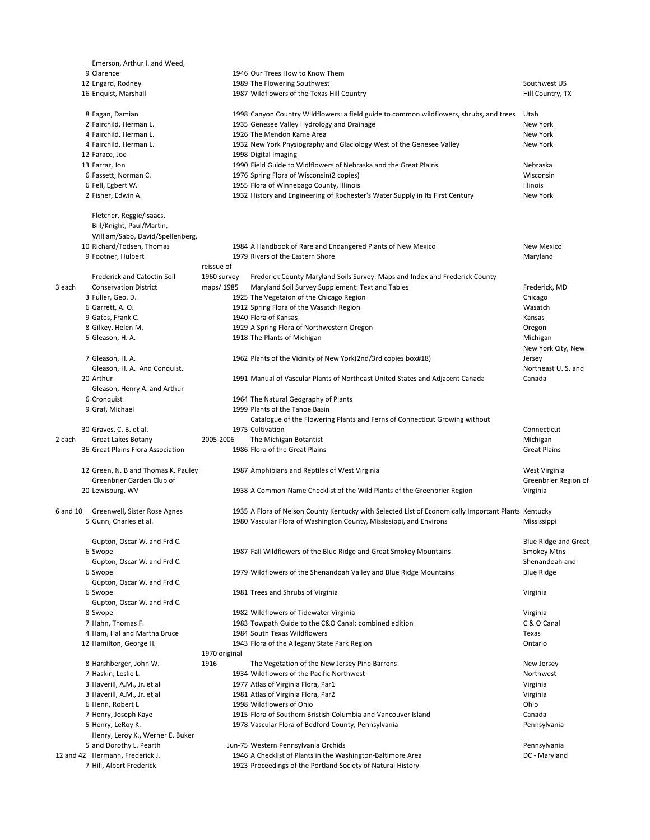|          | Emerson, Arthur I. and Weed,                                                              |               |                                                                                                     |                             |
|----------|-------------------------------------------------------------------------------------------|---------------|-----------------------------------------------------------------------------------------------------|-----------------------------|
|          | 9 Clarence                                                                                |               | 1946 Our Trees How to Know Them                                                                     |                             |
|          | 12 Engard, Rodney                                                                         |               | 1989 The Flowering Southwest                                                                        | Southwest US                |
|          | 16 Enquist, Marshall                                                                      |               | 1987 Wildflowers of the Texas Hill Country                                                          | Hill Country, TX            |
|          | 8 Fagan, Damian                                                                           |               | 1998 Canyon Country Wildflowers: a field guide to common wildflowers, shrubs, and trees             | Utah                        |
|          | 2 Fairchild, Herman L.                                                                    |               | 1935 Genesee Valley Hydrology and Drainage                                                          | New York                    |
|          | 4 Fairchild, Herman L.                                                                    |               | 1926 The Mendon Kame Area                                                                           | New York                    |
|          | 4 Fairchild, Herman L.                                                                    |               | 1932 New York Physiography and Glaciology West of the Genesee Valley                                | New York                    |
|          | 12 Farace, Joe                                                                            |               | 1998 Digital Imaging                                                                                |                             |
|          | 13 Farrar, Jon                                                                            |               | 1990 Field Guide to Widlflowers of Nebraska and the Great Plains                                    | Nebraska                    |
|          | 6 Fassett, Norman C.                                                                      |               | 1976 Spring Flora of Wisconsin(2 copies)                                                            | Wisconsin                   |
|          | 6 Fell, Egbert W.                                                                         |               | 1955 Flora of Winnebago County, Illinois                                                            | Illinois                    |
|          | 2 Fisher, Edwin A.                                                                        |               | 1932 History and Engineering of Rochester's Water Supply in Its First Century                       | New York                    |
|          | Fletcher, Reggie/Isaacs,<br>Bill/Knight, Paul/Martin,<br>William/Sabo, David/Spellenberg, |               |                                                                                                     |                             |
|          | 10 Richard/Todsen, Thomas                                                                 |               | 1984 A Handbook of Rare and Endangered Plants of New Mexico                                         | New Mexico                  |
|          | 9 Footner, Hulbert                                                                        |               | 1979 Rivers of the Eastern Shore                                                                    | Maryland                    |
|          |                                                                                           | reissue of    |                                                                                                     |                             |
|          | <b>Frederick and Catoctin Soil</b>                                                        | 1960 survey   | Frederick County Maryland Soils Survey: Maps and Index and Frederick County                         |                             |
| 3 each   | <b>Conservation District</b>                                                              | maps/1985     | Maryland Soil Survey Supplement: Text and Tables                                                    | Frederick, MD               |
|          | 3 Fuller, Geo. D.                                                                         |               | 1925 The Vegetaion of the Chicago Region                                                            | Chicago                     |
|          | 6 Garrett, A. O.                                                                          |               | 1912 Spring Flora of the Wasatch Region                                                             | Wasatch                     |
|          | 9 Gates, Frank C.                                                                         |               | 1940 Flora of Kansas                                                                                | Kansas                      |
|          | 8 Gilkey, Helen M.                                                                        |               | 1929 A Spring Flora of Northwestern Oregon                                                          | Oregon                      |
|          | 5 Gleason, H. A.                                                                          |               | 1918 The Plants of Michigan                                                                         | Michigan                    |
|          |                                                                                           |               |                                                                                                     | New York City, New          |
|          | 7 Gleason, H. A.                                                                          |               | 1962 Plants of the Vicinity of New York(2nd/3rd copies box#18)                                      | Jersey                      |
|          | Gleason, H. A. And Conquist,                                                              |               |                                                                                                     | Northeast U.S. and          |
|          | 20 Arthur                                                                                 |               | 1991 Manual of Vascular Plants of Northeast United States and Adjacent Canada                       | Canada                      |
|          | Gleason, Henry A. and Arthur                                                              |               |                                                                                                     |                             |
|          | 6 Cronquist                                                                               |               | 1964 The Natural Geography of Plants                                                                |                             |
|          | 9 Graf, Michael                                                                           |               | 1999 Plants of the Tahoe Basin                                                                      |                             |
|          |                                                                                           |               | Catalogue of the Flowering Plants and Ferns of Connecticut Growing without                          |                             |
|          | 30 Graves. C. B. et al.                                                                   |               | 1975 Cultivation                                                                                    | Connecticut                 |
| 2 each   | Great Lakes Botany                                                                        | 2005-2006     | The Michigan Botantist                                                                              | Michigan                    |
|          | 36 Great Plains Flora Association                                                         |               | 1986 Flora of the Great Plains                                                                      | <b>Great Plains</b>         |
|          |                                                                                           |               |                                                                                                     |                             |
|          | 12 Green, N. B and Thomas K. Pauley                                                       |               | 1987 Amphibians and Reptiles of West Virginia                                                       | West Virginia               |
|          | Greenbrier Garden Club of                                                                 |               |                                                                                                     | Greenbrier Region of        |
|          | 20 Lewisburg, WV                                                                          |               | 1938 A Common-Name Checklist of the Wild Plants of the Greenbrier Region                            | Virginia                    |
|          |                                                                                           |               |                                                                                                     |                             |
| 6 and 10 | Greenwell, Sister Rose Agnes                                                              |               | 1935 A Flora of Nelson County Kentucky with Selected List of Economically Important Plants Kentucky |                             |
|          | 5 Gunn, Charles et al.                                                                    |               | 1980 Vascular Flora of Washington County, Mississippi, and Environs                                 | Mississippi                 |
|          |                                                                                           |               |                                                                                                     |                             |
|          | Gupton, Oscar W. and Frd C.                                                               |               |                                                                                                     | <b>Blue Ridge and Great</b> |
|          | 6 Swope                                                                                   |               | 1987 Fall Wildflowers of the Blue Ridge and Great Smokey Mountains                                  | <b>Smokey Mtns</b>          |
|          | Gupton, Oscar W. and Frd C.                                                               |               |                                                                                                     | Shenandoah and              |
|          | 6 Swope                                                                                   |               | 1979 Wildflowers of the Shenandoah Valley and Blue Ridge Mountains                                  | <b>Blue Ridge</b>           |
|          | Gupton, Oscar W. and Frd C.                                                               |               |                                                                                                     |                             |
|          | 6 Swope                                                                                   |               | 1981 Trees and Shrubs of Virginia                                                                   | Virginia                    |
|          | Gupton, Oscar W. and Frd C.                                                               |               |                                                                                                     |                             |
|          | 8 Swope                                                                                   |               | 1982 Wildflowers of Tidewater Virginia                                                              | Virginia                    |
|          | 7 Hahn, Thomas F.                                                                         |               | 1983 Towpath Guide to the C&O Canal: combined edition                                               | C & O Canal                 |
|          | 4 Ham, Hal and Martha Bruce                                                               |               | 1984 South Texas Wildflowers                                                                        | Texas                       |
|          | 12 Hamilton, George H.                                                                    |               | 1943 Flora of the Allegany State Park Region                                                        | Ontario                     |
|          |                                                                                           | 1970 original |                                                                                                     |                             |
|          | 8 Harshberger, John W.                                                                    | 1916          | The Vegetation of the New Jersey Pine Barrens                                                       | New Jersey                  |
|          | 7 Haskin, Leslie L.                                                                       |               | 1934 Wildflowers of the Pacific Northwest                                                           | Northwest                   |
|          | 3 Haverill, A.M., Jr. et al                                                               |               | 1977 Atlas of Virginia Flora, Par1                                                                  | Virginia                    |
|          | 3 Haverill, A.M., Jr. et al                                                               |               | 1981 Atlas of Virginia Flora, Par2                                                                  | Virginia                    |
|          | 6 Henn, Robert L                                                                          |               | 1998 Wildflowers of Ohio                                                                            | Ohio                        |
|          | 7 Henry, Joseph Kaye                                                                      |               | 1915 Flora of Southern Bristish Columbia and Vancouver Island                                       | Canada                      |
|          |                                                                                           |               |                                                                                                     |                             |
|          | 5 Henry, LeRoy K.                                                                         |               | 1978 Vascular Flora of Bedford County, Pennsylvania                                                 | Pennsylvania                |
|          | Henry, Leroy K., Werner E. Buker                                                          |               |                                                                                                     |                             |
|          | 5 and Dorothy L. Pearth                                                                   |               | Jun-75 Western Pennsylvania Orchids                                                                 | Pennsylvania                |
|          | 12 and 42 Hermann, Frederick J.                                                           |               | 1946 A Checklist of Plants in the Washington-Baltimore Area                                         | DC - Maryland               |
|          | 7 Hill, Albert Frederick                                                                  |               | 1923 Proceedings of the Portland Society of Natural History                                         |                             |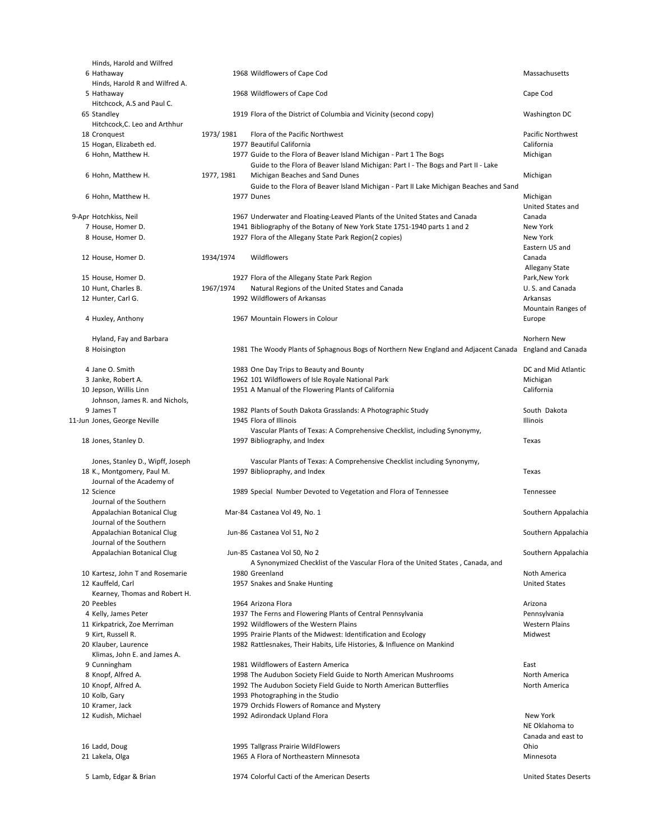| Hinds, Harold and Wilfred                          |            |                                                                                                        |                                       |
|----------------------------------------------------|------------|--------------------------------------------------------------------------------------------------------|---------------------------------------|
| 6 Hathaway<br>Hinds, Harold R and Wilfred A.       |            | 1968 Wildflowers of Cape Cod                                                                           | Massachusetts                         |
| 5 Hathaway                                         |            | 1968 Wildflowers of Cape Cod                                                                           | Cape Cod                              |
| Hitchcock, A.S and Paul C.                         |            |                                                                                                        |                                       |
| 65 Standley                                        |            | 1919 Flora of the District of Columbia and Vicinity (second copy)                                      | Washington DC                         |
| Hitchcock, C. Leo and Arthhur                      |            |                                                                                                        |                                       |
| 18 Cronquest                                       | 1973/1981  | Flora of the Pacific Northwest                                                                         | Pacific Northwest                     |
| 15 Hogan, Elizabeth ed.                            |            | 1977 Beautiful California                                                                              | California                            |
| 6 Hohn, Matthew H.                                 |            | 1977 Guide to the Flora of Beaver Island Michigan - Part 1 The Bogs                                    | Michigan                              |
|                                                    |            | Guide to the Flora of Beaver Island Michigan: Part I - The Bogs and Part II - Lake                     |                                       |
| 6 Hohn, Matthew H.                                 | 1977, 1981 | Michigan Beaches and Sand Dunes                                                                        | Michigan                              |
|                                                    |            | Guide to the Flora of Beaver Island Michigan - Part II Lake Michigan Beaches and Sand                  |                                       |
| 6 Hohn, Matthew H.                                 |            | 1977 Dunes                                                                                             | Michigan                              |
|                                                    |            |                                                                                                        | United States and                     |
| 9-Apr Hotchkiss, Neil                              |            | 1967 Underwater and Floating-Leaved Plants of the United States and Canada                             | Canada                                |
| 7 House, Homer D.                                  |            | 1941 Bibliography of the Botany of New York State 1751-1940 parts 1 and 2                              | New York                              |
| 8 House, Homer D.                                  |            | 1927 Flora of the Allegany State Park Region(2 copies)                                                 | New York<br>Eastern US and            |
| 12 House, Homer D.                                 | 1934/1974  | Wildflowers                                                                                            | Canada                                |
|                                                    |            |                                                                                                        | Allegany State                        |
| 15 House, Homer D.                                 |            | 1927 Flora of the Allegany State Park Region                                                           | Park, New York                        |
| 10 Hunt, Charles B.                                | 1967/1974  | Natural Regions of the United States and Canada                                                        | U.S. and Canada                       |
| 12 Hunter, Carl G.                                 |            | 1992 Wildflowers of Arkansas                                                                           | Arkansas                              |
|                                                    |            |                                                                                                        | Mountain Ranges of                    |
| 4 Huxley, Anthony                                  |            | 1967 Mountain Flowers in Colour                                                                        | Europe                                |
|                                                    |            |                                                                                                        |                                       |
| Hyland, Fay and Barbara                            |            |                                                                                                        | Norhern New                           |
| 8 Hoisington                                       |            | 1981 The Woody Plants of Sphagnous Bogs of Northern New England and Adjacent Canada England and Canada |                                       |
|                                                    |            |                                                                                                        |                                       |
| 4 Jane O. Smith                                    |            | 1983 One Day Trips to Beauty and Bounty<br>1962 101 Wildflowers of Isle Royale National Park           | DC and Mid Atlantic                   |
| 3 Janke, Robert A.<br>10 Jepson, Willis Linn       |            | 1951 A Manual of the Flowering Plants of California                                                    | Michigan<br>California                |
| Johnson, James R. and Nichols,                     |            |                                                                                                        |                                       |
| 9 James T                                          |            | 1982 Plants of South Dakota Grasslands: A Photographic Study                                           | South Dakota                          |
| 11-Jun Jones, George Neville                       |            | 1945 Flora of Illinois                                                                                 | Illinois                              |
|                                                    |            | Vascular Plants of Texas: A Comprehensive Checklist, including Synonymy,                               |                                       |
| 18 Jones, Stanley D.                               |            | 1997 Bibliography, and Index                                                                           | Texas                                 |
|                                                    |            |                                                                                                        |                                       |
| Jones, Stanley D., Wipff, Joseph                   |            | Vascular Plants of Texas: A Comprehensive Checklist including Synonymy,                                |                                       |
| 18 K., Montgomery, Paul M.                         |            | 1997 Bibliopraphy, and Index                                                                           | Texas                                 |
| Journal of the Academy of<br>12 Science            |            |                                                                                                        |                                       |
| Journal of the Southern                            |            | 1989 Special Number Devoted to Vegetation and Flora of Tennessee                                       | Tennessee                             |
| Appalachian Botanical Clug                         |            | Mar-84 Castanea Vol 49, No. 1                                                                          | Southern Appalachia                   |
| Journal of the Southern                            |            |                                                                                                        |                                       |
| Appalachian Botanical Clug                         |            | Jun-86 Castanea Vol 51, No 2                                                                           | Southern Appalachia                   |
| Journal of the Southern                            |            |                                                                                                        |                                       |
| Appalachian Botanical Clug                         |            | Jun-85 Castanea Vol 50, No 2                                                                           | Southern Appalachia                   |
|                                                    |            | A Synonymized Checklist of the Vascular Flora of the United States, Canada, and                        |                                       |
| 10 Kartesz, John T and Rosemarie                   |            | 1980 Greenland                                                                                         | Noth America                          |
| 12 Kauffeld, Carl                                  |            | 1957 Snakes and Snake Hunting                                                                          | <b>United States</b>                  |
| Kearney, Thomas and Robert H.                      |            |                                                                                                        |                                       |
| 20 Peebles                                         |            | 1964 Arizona Flora                                                                                     | Arizona                               |
| 4 Kelly, James Peter                               |            | 1937 The Ferns and Flowering Plants of Central Pennsylvania<br>1992 Wildflowers of the Western Plains  | Pennsylvania<br><b>Western Plains</b> |
| 11 Kirkpatrick, Zoe Merriman<br>9 Kirt, Russell R. |            | 1995 Prairie Plants of the Midwest: Identification and Ecology                                         | Midwest                               |
| 20 Klauber, Laurence                               |            | 1982 Rattlesnakes, Their Habits, Life Histories, & Influence on Mankind                                |                                       |
| Klimas, John E. and James A.                       |            |                                                                                                        |                                       |
| 9 Cunningham                                       |            | 1981 Wildflowers of Eastern America                                                                    | East                                  |
| 8 Knopf, Alfred A.                                 |            | 1998 The Audubon Society Field Guide to North American Mushrooms                                       | North America                         |
| 10 Knopf, Alfred A.                                |            | 1992 The Audubon Society Field Guide to North American Butterflies                                     | North America                         |
| 10 Kolb, Gary                                      |            | 1993 Photographing in the Studio                                                                       |                                       |
| 10 Kramer, Jack                                    |            | 1979 Orchids Flowers of Romance and Mystery                                                            |                                       |
| 12 Kudish, Michael                                 |            | 1992 Adirondack Upland Flora                                                                           | New York                              |
|                                                    |            |                                                                                                        | NE Oklahoma to                        |
|                                                    |            |                                                                                                        | Canada and east to<br>Ohio            |
| 16 Ladd, Doug<br>21 Lakela, Olga                   |            | 1995 Tallgrass Prairie WildFlowers<br>1965 A Flora of Northeastern Minnesota                           | Minnesota                             |
|                                                    |            |                                                                                                        |                                       |
| 5 Lamb, Edgar & Brian                              |            | 1974 Colorful Cacti of the American Deserts                                                            | <b>United States Deserts</b>          |
|                                                    |            |                                                                                                        |                                       |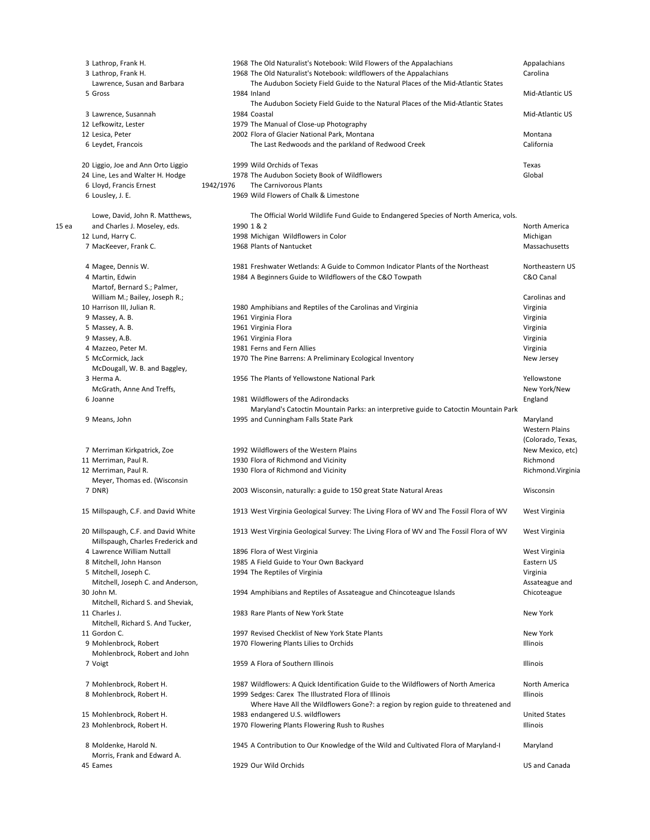|                  | 3 Lathrop, Frank H.                                           |           | 1968 The Old Naturalist's Notebook: Wild Flowers of the Appalachians                                                                       | Appalachians                                           |
|------------------|---------------------------------------------------------------|-----------|--------------------------------------------------------------------------------------------------------------------------------------------|--------------------------------------------------------|
|                  | 3 Lathrop, Frank H.                                           |           | 1968 The Old Naturalist's Notebook: wildflowers of the Appalachians                                                                        | Carolina                                               |
|                  | Lawrence, Susan and Barbara                                   |           | The Audubon Society Field Guide to the Natural Places of the Mid-Atlantic States                                                           |                                                        |
|                  | 5 Gross                                                       |           | 1984 Inland<br>The Audubon Society Field Guide to the Natural Places of the Mid-Atlantic States                                            | Mid-Atlantic US                                        |
|                  | 3 Lawrence, Susannah                                          |           | 1984 Coastal                                                                                                                               | Mid-Atlantic US                                        |
|                  | 12 Lefkowitz, Lester                                          |           | 1979 The Manual of Close-up Photography                                                                                                    |                                                        |
|                  | 12 Lesica, Peter                                              |           | 2002 Flora of Glacier National Park, Montana                                                                                               | Montana                                                |
|                  | 6 Leydet, Francois                                            |           | The Last Redwoods and the parkland of Redwood Creek                                                                                        | California                                             |
|                  | 20 Liggio, Joe and Ann Orto Liggio                            |           | 1999 Wild Orchids of Texas                                                                                                                 | Texas                                                  |
|                  | 24 Line, Les and Walter H. Hodge                              |           | 1978 The Audubon Society Book of Wildflowers                                                                                               | Global                                                 |
|                  | 6 Lloyd, Francis Ernest                                       | 1942/1976 | The Carnivorous Plants                                                                                                                     |                                                        |
|                  | 6 Lousley, J. E.                                              |           | 1969 Wild Flowers of Chalk & Limestone                                                                                                     |                                                        |
|                  | Lowe, David, John R. Matthews,                                |           | The Official World Wildlife Fund Guide to Endangered Species of North America, vols.                                                       |                                                        |
| 15 <sub>ea</sub> | and Charles J. Moseley, eds.                                  |           | 1990 1 & 2                                                                                                                                 | North America                                          |
|                  | 12 Lund, Harry C.                                             |           | 1998 Michigan Wildflowers in Color                                                                                                         | Michigan                                               |
|                  | 7 MacKeever, Frank C.                                         |           | 1968 Plants of Nantucket                                                                                                                   | Massachusetts                                          |
|                  | 4 Magee, Dennis W.                                            |           | 1981 Freshwater Wetlands: A Guide to Common Indicator Plants of the Northeast                                                              | Northeastern US                                        |
|                  | 4 Martin, Edwin                                               |           | 1984 A Beginners Guide to Wildflowers of the C&O Towpath                                                                                   | C&O Canal                                              |
|                  | Martof, Bernard S.; Palmer,<br>William M.; Bailey, Joseph R.; |           |                                                                                                                                            | Carolinas and                                          |
|                  | 10 Harrison III, Julian R.                                    |           | 1980 Amphibians and Reptiles of the Carolinas and Virginia                                                                                 | Virginia                                               |
|                  | 9 Massey, A. B.                                               |           | 1961 Virginia Flora                                                                                                                        | Virginia                                               |
|                  | 5 Massey, A. B.                                               |           | 1961 Virginia Flora                                                                                                                        | Virginia                                               |
|                  |                                                               |           | 1961 Virginia Flora                                                                                                                        |                                                        |
|                  | 9 Massey, A.B.                                                |           | 1981 Ferns and Fern Allies                                                                                                                 | Virginia                                               |
|                  | 4 Mazzeo, Peter M.                                            |           |                                                                                                                                            | Virginia                                               |
|                  | 5 McCormick, Jack<br>McDougall, W. B. and Baggley,            |           | 1970 The Pine Barrens: A Preliminary Ecological Inventory                                                                                  | New Jersey                                             |
|                  | 3 Herma A.                                                    |           | 1956 The Plants of Yellowstone National Park                                                                                               | Yellowstone                                            |
|                  | McGrath, Anne And Treffs,                                     |           |                                                                                                                                            | New York/New                                           |
|                  | 6 Joanne                                                      |           | 1981 Wildflowers of the Adirondacks                                                                                                        | England                                                |
|                  |                                                               |           | Maryland's Catoctin Mountain Parks: an interpretive guide to Catoctin Mountain Park                                                        |                                                        |
|                  | 9 Means, John                                                 |           | 1995 and Cunningham Falls State Park                                                                                                       | Maryland<br><b>Western Plains</b><br>(Colorado, Texas, |
|                  | 7 Merriman Kirkpatrick, Zoe                                   |           | 1992 Wildflowers of the Western Plains                                                                                                     | New Mexico, etc)                                       |
|                  | 11 Merriman, Paul R.                                          |           | 1930 Flora of Richmond and Vicinity                                                                                                        | Richmond                                               |
|                  | 12 Merriman, Paul R.                                          |           | 1930 Flora of Richmond and Vicinity                                                                                                        | Richmond. Virginia                                     |
|                  | Meyer, Thomas ed. (Wisconsin                                  |           |                                                                                                                                            |                                                        |
|                  | 7 DNR)                                                        |           | 2003 Wisconsin, naturally: a guide to 150 great State Natural Areas                                                                        | Wisconsin                                              |
|                  | 15 Millspaugh, C.F. and David White                           |           | 1913 West Virginia Geological Survey: The Living Flora of WV and The Fossil Flora of WV                                                    | West Virginia                                          |
|                  | 20 Millspaugh, C.F. and David White                           |           | 1913 West Virginia Geological Survey: The Living Flora of WV and The Fossil Flora of WV                                                    | West Virginia                                          |
|                  | Millspaugh, Charles Frederick and                             |           |                                                                                                                                            |                                                        |
|                  | 4 Lawrence William Nuttall                                    |           | 1896 Flora of West Virginia                                                                                                                | West Virginia                                          |
|                  | 8 Mitchell, John Hanson                                       |           | 1985 A Field Guide to Your Own Backyard                                                                                                    | Eastern US                                             |
|                  | 5 Mitchell, Joseph C.                                         |           | 1994 The Reptiles of Virginia                                                                                                              | Virginia                                               |
|                  | Mitchell, Joseph C. and Anderson,                             |           |                                                                                                                                            | Assateague and                                         |
|                  | 30 John M.                                                    |           | 1994 Amphibians and Reptiles of Assateague and Chincoteague Islands                                                                        | Chicoteague                                            |
|                  | Mitchell, Richard S. and Sheviak,<br>11 Charles J.            |           | 1983 Rare Plants of New York State                                                                                                         | <b>New York</b>                                        |
|                  | Mitchell, Richard S. And Tucker,                              |           |                                                                                                                                            |                                                        |
|                  | 11 Gordon C.                                                  |           | 1997 Revised Checklist of New York State Plants                                                                                            | <b>New York</b>                                        |
|                  | 9 Mohlenbrock, Robert                                         |           | 1970 Flowering Plants Lilies to Orchids                                                                                                    | <b>Illinois</b>                                        |
|                  | Mohlenbrock, Robert and John                                  |           |                                                                                                                                            |                                                        |
|                  | 7 Voigt                                                       |           | 1959 A Flora of Southern Illinois                                                                                                          | Illinois                                               |
|                  |                                                               |           |                                                                                                                                            |                                                        |
|                  | 7 Mohlenbrock, Robert H.<br>8 Mohlenbrock, Robert H.          |           | 1987 Wildflowers: A Quick Identification Guide to the Wildflowers of North America<br>1999 Sedges: Carex The Illustrated Flora of Illinois | North America<br>Illinois                              |
|                  |                                                               |           | Where Have All the Wildflowers Gone?: a region by region guide to threatened and                                                           |                                                        |
|                  | 15 Mohlenbrock, Robert H.                                     |           | 1983 endangered U.S. wildflowers                                                                                                           | <b>United States</b>                                   |
|                  | 23 Mohlenbrock, Robert H.                                     |           | 1970 Flowering Plants Flowering Rush to Rushes                                                                                             | Illinois                                               |
|                  | 8 Moldenke, Harold N.<br>Morris, Frank and Edward A.          |           | 1945 A Contribution to Our Knowledge of the Wild and Cultivated Flora of Maryland-I                                                        | Maryland                                               |
|                  | 45 Eames                                                      |           | 1929 Our Wild Orchids                                                                                                                      | <b>US and Canada</b>                                   |
|                  |                                                               |           |                                                                                                                                            |                                                        |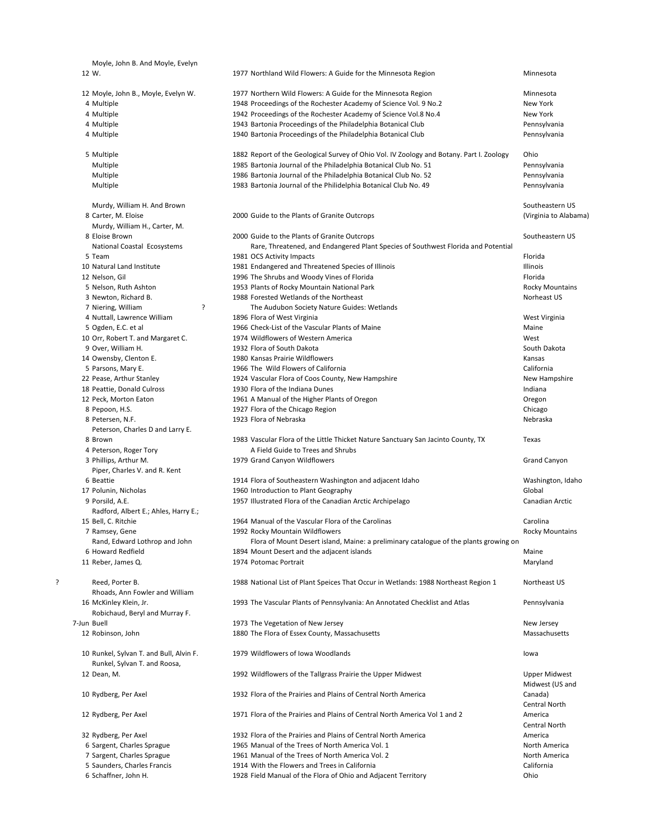|   | Moyle, John B. And Moyle, Evelyn                     |                                                                                          |                        |
|---|------------------------------------------------------|------------------------------------------------------------------------------------------|------------------------|
|   | 12 W.                                                | 1977 Northland Wild Flowers: A Guide for the Minnesota Region                            | Minnesota              |
|   | 12 Moyle, John B., Moyle, Evelyn W.                  | 1977 Northern Wild Flowers: A Guide for the Minnesota Region                             | Minnesota              |
|   | 4 Multiple                                           | 1948 Proceedings of the Rochester Academy of Science Vol. 9 No.2                         | New York               |
|   |                                                      |                                                                                          |                        |
|   | 4 Multiple                                           | 1942 Proceedings of the Rochester Academy of Science Vol.8 No.4                          | New York               |
|   | 4 Multiple                                           | 1943 Bartonia Proceedings of the Philadelphia Botanical Club                             | Pennsylvania           |
|   | 4 Multiple                                           | 1940 Bartonia Proceedings of the Philadelphia Botanical Club                             | Pennsylvania           |
|   | 5 Multiple                                           | 1882 Report of the Geological Survey of Ohio Vol. IV Zoology and Botany. Part I. Zoology | Ohio                   |
|   | Multiple                                             | 1985 Bartonia Journal of the Philadelphia Botanical Club No. 51                          | Pennsylvania           |
|   | Multiple                                             | 1986 Bartonia Journal of the Philadelphia Botanical Club No. 52                          | Pennsylvania           |
|   | Multiple                                             | 1983 Bartonia Journal of the Philidelphia Botanical Club No. 49                          | Pennsylvania           |
|   | Murdy, William H. And Brown                          |                                                                                          | Southeastern US        |
|   | 8 Carter, M. Eloise                                  | 2000 Guide to the Plants of Granite Outcrops                                             | (Virginia to Alabama)  |
|   |                                                      |                                                                                          |                        |
|   | Murdy, William H., Carter, M.                        |                                                                                          |                        |
|   | 8 Eloise Brown                                       | 2000 Guide to the Plants of Granite Outcrops                                             | Southeastern US        |
|   | National Coastal Ecosystems                          | Rare, Threatened, and Endangered Plant Species of Southwest Florida and Potential        |                        |
|   | 5 Team                                               | 1981 OCS Activity Impacts                                                                | Florida                |
|   | 10 Natural Land Institute                            | 1981 Endangered and Threatened Species of Illinois                                       | Illinois               |
|   | 12 Nelson, Gil                                       | 1996 The Shrubs and Woody Vines of Florida                                               | Florida                |
|   | 5 Nelson, Ruth Ashton                                | 1953 Plants of Rocky Mountain National Park                                              | <b>Rocky Mountains</b> |
|   | 3 Newton, Richard B.                                 | 1988 Forested Wetlands of the Northeast                                                  | Norheast US            |
|   | 7 Niering, William<br>ŗ                              | The Audubon Society Nature Guides: Wetlands                                              |                        |
|   | 4 Nuttall, Lawrence William                          | 1896 Flora of West Virginia                                                              | West Virginia          |
|   | 5 Ogden, E.C. et al                                  | 1966 Check-List of the Vascular Plants of Maine                                          | Maine                  |
|   | 10 Orr, Robert T. and Margaret C.                    | 1974 Wildflowers of Western America                                                      | West                   |
|   | 9 Over, William H.                                   | 1932 Flora of South Dakota                                                               | South Dakota           |
|   | 14 Owensby, Clenton E.                               | 1980 Kansas Prairie Wildflowers                                                          | Kansas                 |
|   | 5 Parsons, Mary E.                                   | 1966 The Wild Flowers of California                                                      | California             |
|   | 22 Pease, Arthur Stanley                             | 1924 Vascular Flora of Coos County, New Hampshire                                        | New Hampshire          |
|   |                                                      | 1930 Flora of the Indiana Dunes                                                          | Indiana                |
|   | 18 Peattie, Donald Culross                           |                                                                                          |                        |
|   | 12 Peck, Morton Eaton                                | 1961 A Manual of the Higher Plants of Oregon                                             | Oregon                 |
|   | 8 Pepoon, H.S.                                       | 1927 Flora of the Chicago Region                                                         | Chicago                |
|   | 8 Petersen, N.F.<br>Peterson, Charles D and Larry E. | 1923 Flora of Nebraska                                                                   | Nebraska               |
|   | 8 Brown                                              | 1983 Vascular Flora of the Little Thicket Nature Sanctuary San Jacinto County, TX        | Texas                  |
|   | 4 Peterson, Roger Tory                               | A Field Guide to Trees and Shrubs                                                        |                        |
|   | 3 Phillips, Arthur M.                                | 1979 Grand Canyon Wildflowers                                                            | <b>Grand Canyon</b>    |
|   | Piper, Charles V. and R. Kent                        |                                                                                          |                        |
|   | 6 Beattie                                            | 1914 Flora of Southeastern Washington and adjacent Idaho                                 | Washington, Idaho      |
|   | 17 Polunin, Nicholas                                 | 1960 Introduction to Plant Geography                                                     | Global                 |
|   | 9 Porsild, A.E.                                      | 1957 Illustrated Flora of the Canadian Arctic Archipelago                                | Canadian Arctic        |
|   | Radford, Albert E.; Ahles, Harry E.;                 |                                                                                          |                        |
|   | 15 Bell, C. Ritchie                                  | 1964 Manual of the Vascular Flora of the Carolinas                                       | Carolina               |
|   | 7 Ramsey, Gene                                       | 1992 Rocky Mountain Wildflowers                                                          | <b>Rocky Mountains</b> |
|   | Rand, Edward Lothrop and John                        | Flora of Mount Desert island, Maine: a preliminary catalogue of the plants growing on    |                        |
|   | 6 Howard Redfield                                    | 1894 Mount Desert and the adjacent islands                                               | Maine                  |
|   | 11 Reber, James Q.                                   | 1974 Potomac Portrait                                                                    | Maryland               |
| ŗ | Reed, Porter B.                                      | 1988 National List of Plant Speices That Occur in Wetlands: 1988 Northeast Region 1      | Northeast US           |
|   | Rhoads, Ann Fowler and William                       |                                                                                          |                        |
|   |                                                      | 1993 The Vascular Plants of Pennsylvania: An Annotated Checklist and Atlas               | Pennsylvania           |
|   | 16 McKinley Klein, Jr.                               |                                                                                          |                        |
|   | Robichaud, Beryl and Murray F.                       |                                                                                          |                        |
|   | 7-Jun Buell                                          | 1973 The Vegetation of New Jersey                                                        | New Jersey             |
|   | 12 Robinson, John                                    | 1880 The Flora of Essex County, Massachusetts                                            | Massachusetts          |
|   | 10 Runkel, Sylvan T. and Bull, Alvin F.              | 1979 Wildflowers of Iowa Woodlands                                                       | lowa                   |
|   | Runkel, Sylvan T. and Roosa,                         |                                                                                          |                        |
|   | 12 Dean, M.                                          | 1992 Wildflowers of the Tallgrass Prairie the Upper Midwest                              | Upper Midwest          |
|   |                                                      |                                                                                          | Midwest (US and        |
|   | 10 Rydberg, Per Axel                                 | 1932 Flora of the Prairies and Plains of Central North America                           | Canada)                |
|   |                                                      |                                                                                          | Central North          |
|   | 12 Rydberg, Per Axel                                 | 1971 Flora of the Prairies and Plains of Central North America Vol 1 and 2               | America                |
|   |                                                      |                                                                                          | Central North          |
|   |                                                      |                                                                                          |                        |
|   | 32 Rydberg, Per Axel                                 | 1932 Flora of the Prairies and Plains of Central North America                           | America                |
|   | 6 Sargent, Charles Sprague                           | 1965 Manual of the Trees of North America Vol. 1                                         | North America          |
|   | 7 Sargent, Charles Sprague                           | 1961 Manual of the Trees of North America Vol. 2                                         | North America          |
|   | 5 Saunders, Charles Francis                          | 1914 With the Flowers and Trees in California                                            | California             |
|   | 6 Schaffner, John H.                                 | 1928 Field Manual of the Flora of Ohio and Adjacent Territory                            | Ohio                   |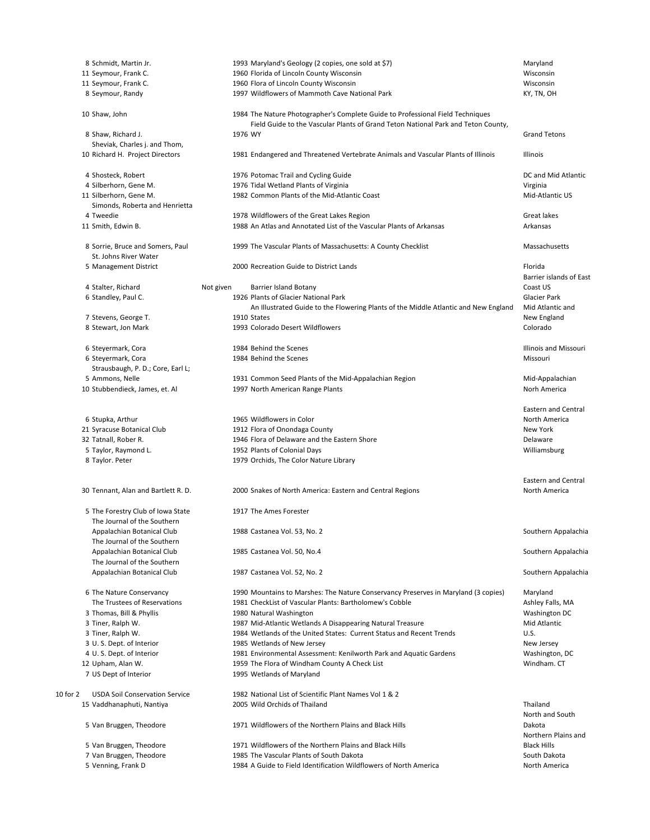|          | 8 Schmidt, Martin Jr.                                     |           |         | 1993 Maryland's Geology (2 copies, one sold at \$7)                                                                                                                 | Maryland                                    |
|----------|-----------------------------------------------------------|-----------|---------|---------------------------------------------------------------------------------------------------------------------------------------------------------------------|---------------------------------------------|
|          | 11 Seymour, Frank C.                                      |           |         | 1960 Florida of Lincoln County Wisconsin                                                                                                                            | Wisconsin                                   |
|          | 11 Seymour, Frank C.                                      |           |         | 1960 Flora of Lincoln County Wisconsin                                                                                                                              | Wisconsin                                   |
|          | 8 Seymour, Randy                                          |           |         | 1997 Wildflowers of Mammoth Cave National Park                                                                                                                      | KY, TN, OH                                  |
|          | 10 Shaw, John                                             |           |         | 1984 The Nature Photographer's Complete Guide to Professional Field Techniques<br>Field Guide to the Vascular Plants of Grand Teton National Park and Teton County, |                                             |
|          | 8 Shaw, Richard J.                                        |           | 1976 WY |                                                                                                                                                                     | <b>Grand Tetons</b>                         |
|          | Sheviak, Charles j. and Thom,                             |           |         |                                                                                                                                                                     |                                             |
|          | 10 Richard H. Project Directors                           |           |         | 1981 Endangered and Threatened Vertebrate Animals and Vascular Plants of Illinois                                                                                   | Illinois                                    |
|          | 4 Shosteck, Robert                                        |           |         | 1976 Potomac Trail and Cycling Guide                                                                                                                                | DC and Mid Atlantic                         |
|          | 4 Silberhorn, Gene M.                                     |           |         | 1976 Tidal Wetland Plants of Virginia                                                                                                                               | Virginia                                    |
|          | 11 Silberhorn, Gene M.<br>Simonds, Roberta and Henrietta  |           |         | 1982 Common Plants of the Mid-Atlantic Coast                                                                                                                        | Mid-Atlantic US                             |
|          | 4 Tweedie                                                 |           |         | 1978 Wildflowers of the Great Lakes Region                                                                                                                          | Great lakes                                 |
|          | 11 Smith, Edwin B.                                        |           |         | 1988 An Atlas and Annotated List of the Vascular Plants of Arkansas                                                                                                 | Arkansas                                    |
|          | 8 Sorrie, Bruce and Somers, Paul<br>St. Johns River Water |           |         | 1999 The Vascular Plants of Massachusetts: A County Checklist                                                                                                       | Massachusetts                               |
|          | 5 Management District                                     |           |         | 2000 Recreation Guide to District Lands                                                                                                                             | Florida<br>Barrier islands of East          |
|          | 4 Stalter, Richard                                        | Not given |         | <b>Barrier Island Botany</b>                                                                                                                                        | Coast US                                    |
|          | 6 Standley, Paul C.                                       |           |         | 1926 Plants of Glacier National Park                                                                                                                                | <b>Glacier Park</b>                         |
|          |                                                           |           |         | An Illustrated Guide to the Flowering Plants of the Middle Atlantic and New England                                                                                 | Mid Atlantic and                            |
|          | 7 Stevens, George T.                                      |           |         | 1910 States                                                                                                                                                         | New England                                 |
|          | 8 Stewart, Jon Mark                                       |           |         | 1993 Colorado Desert Wildflowers                                                                                                                                    | Colorado                                    |
|          | 6 Steyermark, Cora                                        |           |         | 1984 Behind the Scenes                                                                                                                                              | <b>Illinois and Missouri</b>                |
|          | 6 Steyermark, Cora                                        |           |         | 1984 Behind the Scenes                                                                                                                                              | Missouri                                    |
|          | Strausbaugh, P. D.; Core, Earl L;                         |           |         |                                                                                                                                                                     |                                             |
|          | 5 Ammons, Nelle                                           |           |         | 1931 Common Seed Plants of the Mid-Appalachian Region                                                                                                               | Mid-Appalachian                             |
|          | 10 Stubbendieck, James, et. Al                            |           |         | 1997 North American Range Plants                                                                                                                                    | Norh America                                |
|          |                                                           |           |         |                                                                                                                                                                     |                                             |
|          |                                                           |           |         |                                                                                                                                                                     | <b>Eastern and Central</b>                  |
|          | 6 Stupka, Arthur                                          |           |         | 1965 Wildflowers in Color                                                                                                                                           | North America                               |
|          | 21 Syracuse Botanical Club                                |           |         | 1912 Flora of Onondaga County                                                                                                                                       | New York                                    |
|          | 32 Tatnall, Rober R.                                      |           |         | 1946 Flora of Delaware and the Eastern Shore                                                                                                                        | Delaware                                    |
|          | 5 Taylor, Raymond L.                                      |           |         | 1952 Plants of Colonial Days                                                                                                                                        | Williamsburg                                |
|          | 8 Taylor. Peter                                           |           |         | 1979 Orchids, The Color Nature Library                                                                                                                              |                                             |
|          | 30 Tennant, Alan and Bartlett R. D.                       |           |         | 2000 Snakes of North America: Eastern and Central Regions                                                                                                           | <b>Eastern and Central</b><br>North America |
|          | 5 The Forestry Club of Iowa State                         |           |         | 1917 The Ames Forester                                                                                                                                              |                                             |
|          | The Journal of the Southern                               |           |         |                                                                                                                                                                     |                                             |
|          | Appalachian Botanical Club                                |           |         | 1988 Castanea Vol. 53, No. 2                                                                                                                                        | Southern Appalachia                         |
|          | The Journal of the Southern                               |           |         |                                                                                                                                                                     |                                             |
|          | Appalachian Botanical Club                                |           |         | 1985 Castanea Vol. 50, No.4                                                                                                                                         | Southern Appalachia                         |
|          | The Journal of the Southern<br>Appalachian Botanical Club |           |         | 1987 Castanea Vol. 52, No. 2                                                                                                                                        | Southern Appalachia                         |
|          |                                                           |           |         |                                                                                                                                                                     |                                             |
|          | 6 The Nature Conservancy                                  |           |         | 1990 Mountains to Marshes: The Nature Conservancy Preserves in Maryland (3 copies)                                                                                  | Maryland                                    |
|          | The Trustees of Reservations                              |           |         | 1981 CheckList of Vascular Plants: Bartholomew's Cobble                                                                                                             | Ashley Falls, MA                            |
|          | 3 Thomas, Bill & Phyllis<br>3 Tiner, Ralph W.             |           |         | 1980 Natural Washington<br>1987 Mid-Atlantic Wetlands A Disappearing Natural Treasure                                                                               | Washington DC<br>Mid Atlantic               |
|          | 3 Tiner, Ralph W.                                         |           |         | 1984 Wetlands of the United States: Current Status and Recent Trends                                                                                                | U.S.                                        |
|          | 3 U.S. Dept. of Interior                                  |           |         | 1985 Wetlands of New Jersey                                                                                                                                         | New Jersey                                  |
|          | 4 U.S. Dept. of Interior                                  |           |         | 1981 Environmental Assessment: Kenilworth Park and Aquatic Gardens                                                                                                  | Washington, DC                              |
|          | 12 Upham, Alan W.                                         |           |         | 1959 The Flora of Windham County A Check List                                                                                                                       | Windham. CT                                 |
|          | 7 US Dept of Interior                                     |           |         | 1995 Wetlands of Maryland                                                                                                                                           |                                             |
|          |                                                           |           |         |                                                                                                                                                                     |                                             |
| 10 for 2 | <b>USDA Soil Conservation Service</b>                     |           |         | 1982 National List of Scientific Plant Names Vol 1 & 2                                                                                                              |                                             |
|          | 15 Vaddhanaphuti, Nantiya                                 |           |         | 2005 Wild Orchids of Thailand                                                                                                                                       | Thailand<br>North and South                 |
|          | 5 Van Bruggen, Theodore                                   |           |         | 1971 Wildflowers of the Northern Plains and Black Hills                                                                                                             | Dakota<br>Northern Plains and               |
|          | 5 Van Bruggen, Theodore                                   |           |         | 1971 Wildflowers of the Northern Plains and Black Hills                                                                                                             | <b>Black Hills</b>                          |
|          | 7 Van Bruggen, Theodore                                   |           |         | 1985 The Vascular Plants of South Dakota                                                                                                                            | South Dakota                                |
|          | 5 Venning, Frank D                                        |           |         | 1984 A Guide to Field Identification Wildflowers of North America                                                                                                   | North America                               |
|          |                                                           |           |         |                                                                                                                                                                     |                                             |